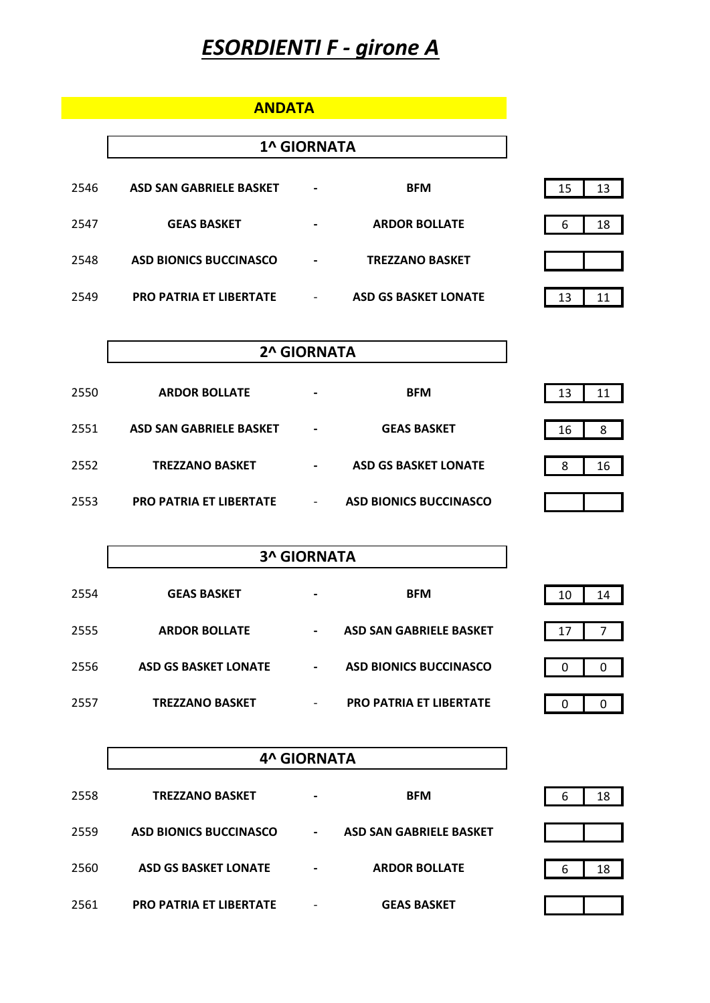# *ESORDIENTI F - girone A*

**ANDATA**

|      |                                | <b>1^ GIORNATA</b>           |                             |          |
|------|--------------------------------|------------------------------|-----------------------------|----------|
| 2546 | <b>ASD SAN GABRIELE BASKET</b> | $\qquad \qquad \blacksquare$ | <b>BFM</b>                  | 13<br>15 |
| 2547 | <b>GEAS BASKET</b>             | $\qquad \qquad \blacksquare$ | <b>ARDOR BOLLATE</b>        | 18<br>6  |
| 2548 | <b>ASD BIONICS BUCCINASCO</b>  |                              | <b>TREZZANO BASKET</b>      |          |
| 2549 | PRO PATRIA ET LIBERTATE        |                              | <b>ASD GS BASKET LONATE</b> | 13       |

| 2^ GIORNATA |  |
|-------------|--|
|-------------|--|

| 2550 | <b>ARDOR BOLLATE</b>           | $\overline{\phantom{0}}$ | <b>BFM</b>                    | 13      |
|------|--------------------------------|--------------------------|-------------------------------|---------|
| 2551 | <b>ASD SAN GABRIELE BASKET</b> | $\blacksquare$           | <b>GEAS BASKET</b>            | 8<br>16 |
| 2552 | <b>TREZZANO BASKET</b>         | $\blacksquare$           | <b>ASD GS BASKET LONATE</b>   | 16<br>8 |
| 2553 | <b>PRO PATRIA ET LIBERTATE</b> | $\overline{\phantom{a}}$ | <b>ASD BIONICS BUCCINASCO</b> |         |

|      | <b>3^ GIORNATA</b>          |                          |                                |               |
|------|-----------------------------|--------------------------|--------------------------------|---------------|
| 2554 | <b>GEAS BASKET</b>          |                          | <b>BFM</b>                     | 10<br>14      |
| 2555 | <b>ARDOR BOLLATE</b>        | $\overline{\phantom{0}}$ | <b>ASD SAN GABRIELE BASKET</b> | 17            |
| 2556 | <b>ASD GS BASKET LONATE</b> | $\overline{\phantom{0}}$ | <b>ASD BIONICS BUCCINASCO</b>  | 0<br>0        |
| 2557 | <b>TREZZANO BASKET</b>      | -                        | <b>PRO PATRIA ET LIBERTATE</b> | $\Omega$<br>0 |

|      | <b>4^ GIORNATA</b>             |                          |                                |  |   |    |
|------|--------------------------------|--------------------------|--------------------------------|--|---|----|
| 2558 | <b>TREZZANO BASKET</b>         |                          | <b>BFM</b>                     |  | 6 | 18 |
| 2559 | <b>ASD BIONICS BUCCINASCO</b>  | $\overline{\phantom{a}}$ | <b>ASD SAN GABRIELE BASKET</b> |  |   |    |
| 2560 | <b>ASD GS BASKET LONATE</b>    |                          | <b>ARDOR BOLLATE</b>           |  | 6 | 18 |
| 2561 | <b>PRO PATRIA ET LIBERTATE</b> |                          | <b>GEAS BASKET</b>             |  |   |    |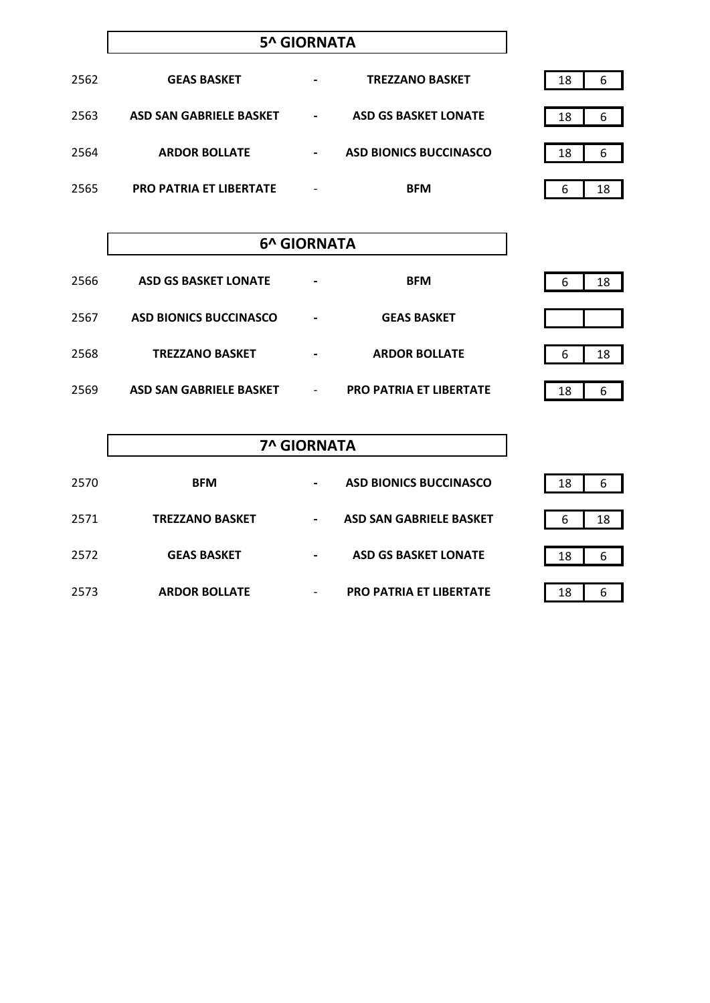### **5^ GIORNATA**

| 2562 | <b>GEAS BASKET</b>             | $\blacksquare$ | <b>TREZZANO BASKET</b>        | 18 | 6  |
|------|--------------------------------|----------------|-------------------------------|----|----|
| 2563 | ASD SAN GABRIELE BASKET        | $\blacksquare$ | <b>ASD GS BASKET LONATE</b>   | 18 | 6  |
| 2564 | <b>ARDOR BOLLATE</b>           | $\blacksquare$ | <b>ASD BIONICS BUCCINASCO</b> | 18 | 6  |
| 2565 | <b>PRO PATRIA ET LIBERTATE</b> | -              | <b>BFM</b>                    | 6  | 18 |

### **6^ GIORNATA**

| 2566 | <b>ASD GS BASKET LONATE</b>   | $\blacksquare$           | <b>BFM</b>                     | 18<br>b |
|------|-------------------------------|--------------------------|--------------------------------|---------|
| 2567 | <b>ASD BIONICS BUCCINASCO</b> | $\blacksquare$           | <b>GEAS BASKET</b>             |         |
| 2568 | <b>TREZZANO BASKET</b>        |                          | <b>ARDOR BOLLATE</b>           | 18<br>6 |
| 2569 | ASD SAN GABRIELE BASKET       | $\overline{\phantom{a}}$ | <b>PRO PATRIA ET LIBERTATE</b> | 6<br>18 |

|      | <b>7^ GIORNATA</b>     |                          |                                |  |    |    |
|------|------------------------|--------------------------|--------------------------------|--|----|----|
| 2570 | <b>BFM</b>             | -                        | <b>ASD BIONICS BUCCINASCO</b>  |  | 18 | 6  |
| 2571 | <b>TREZZANO BASKET</b> | $\overline{\phantom{0}}$ | <b>ASD SAN GABRIELE BASKET</b> |  | 6  | 18 |
| 2572 | <b>GEAS BASKET</b>     |                          | <b>ASD GS BASKET LONATE</b>    |  | 18 | 6  |
| 2573 | <b>ARDOR BOLLATE</b>   | -                        | <b>PRO PATRIA ET LIBERTATE</b> |  | 18 | 6  |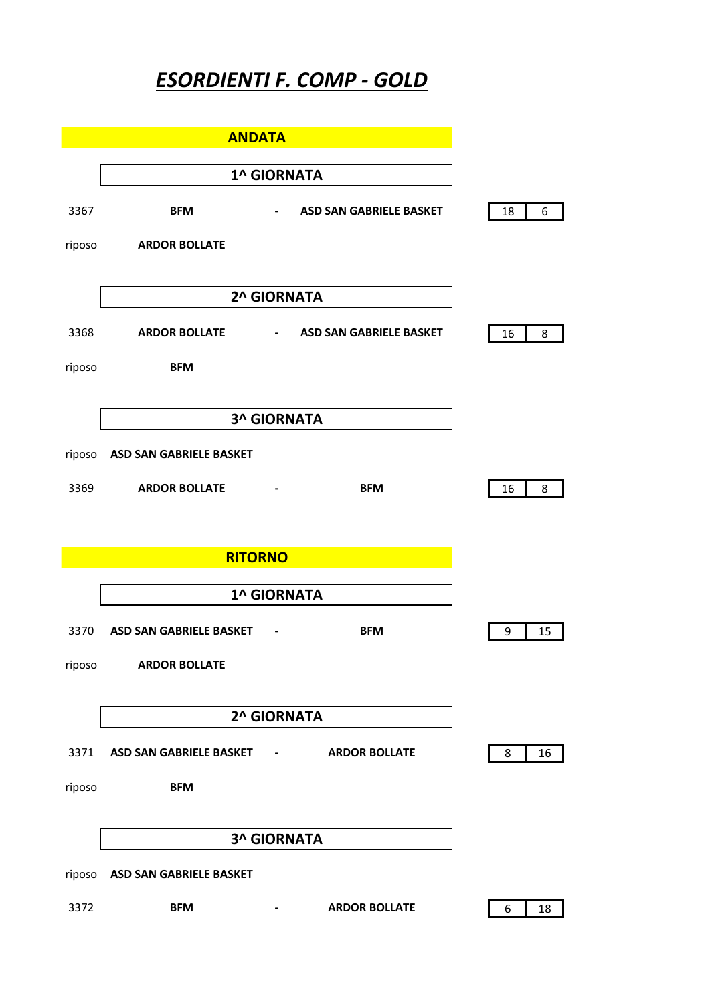## *ESORDIENTI F. COMP - GOLD*